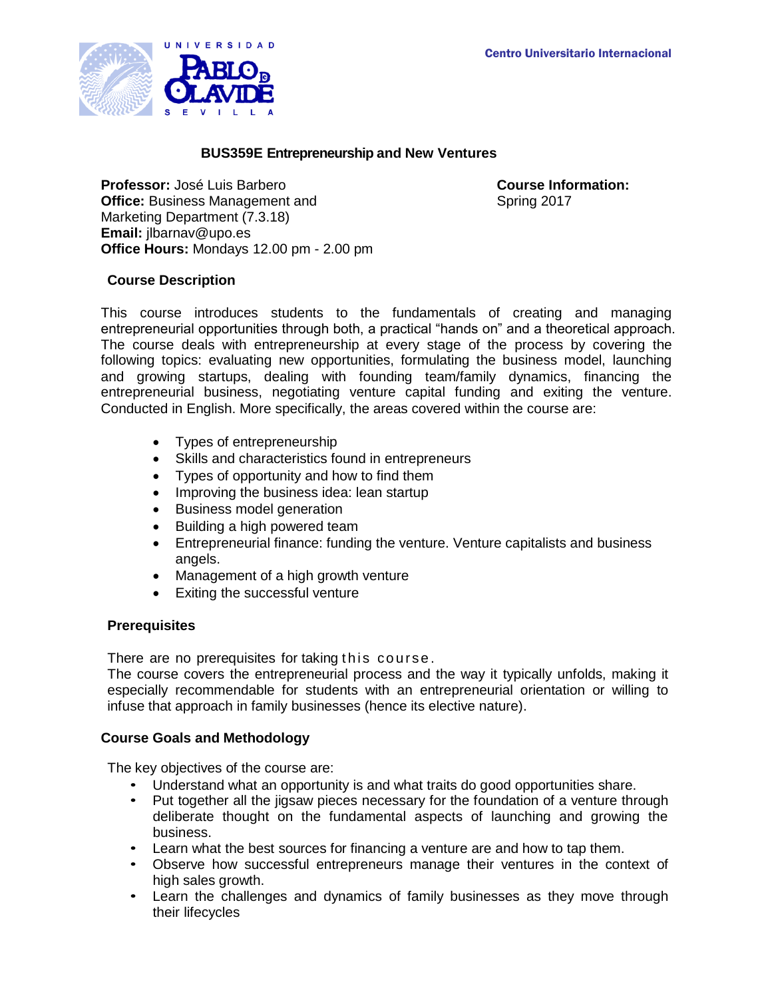

### **BUS359E Entrepreneurship and New Ventures**

**Professor:** José Luis Barbero **Course Information: Office: Business Management and** Marketing Department (7.3.18) **Email:** jlbarnav@upo.es **Office Hours:** Mondays 12.00 pm - 2.00 pm

Spring 2017

### **Course Description**

This course introduces students to the fundamentals of creating and managing entrepreneurial opportunities through both, a practical "hands on" and a theoretical approach. The course deals with entrepreneurship at every stage of the process by covering the following topics: evaluating new opportunities, formulating the business model, launching and growing startups, dealing with founding team/family dynamics, financing the entrepreneurial business, negotiating venture capital funding and exiting the venture. Conducted in English. More specifically, the areas covered within the course are:

- Types of entrepreneurship
- Skills and characteristics found in entrepreneurs
- Types of opportunity and how to find them
- Improving the business idea: lean startup
- **•** Business model generation
- Building a high powered team
- Entrepreneurial finance: funding the venture. Venture capitalists and business angels.
- Management of a high growth venture
- Exiting the successful venture

### **Prerequisites**

There are no prerequisites for taking this course.

The course covers the entrepreneurial process and the way it typically unfolds, making it especially recommendable for students with an entrepreneurial orientation or willing to infuse that approach in family businesses (hence its elective nature).

### **Course Goals and Methodology**

The key objectives of the course are:

- Understand what an opportunity is and what traits do good opportunities share.<br>• Put together all the jigs aw pieces necessary for the foundation of a venture three
- Put together all the jigsaw pieces necessary for the foundation of a venture through deliberate thought on the fundamental aspects of launching and growing the business.
- Learn what the best sources for financing a venture are and how to tap them.
- Observe how successful entrepreneurs manage their ventures in the context of high sales growth.
- Learn the challenges and dynamics of family businesses as they move through their lifecycles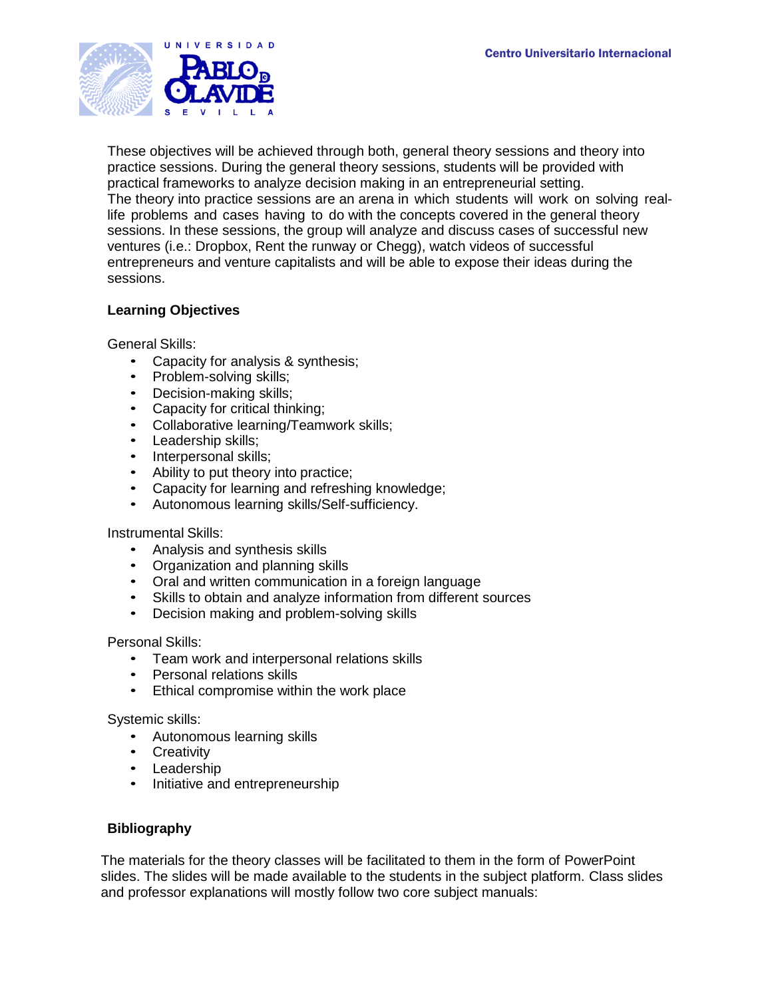

These objectives will be achieved through both, general theory sessions and theory into practice sessions. During the general theory sessions, students will be provided with practical frameworks to analyze decision making in an entrepreneurial setting. The theory into practice sessions are an arena in which students will work on solving reallife problems and cases having to do with the concepts covered in the general theory sessions. In these sessions, the group will analyze and discuss cases of successful new ventures (i.e.: Dropbox, Rent the runway or Chegg), watch videos of successful entrepreneurs and venture capitalists and will be able to expose their ideas during the sessions.

# **Learning Objectives**

General Skills:

- Capacity for analysis & synthesis;
- Problem-solving skills;
- Decision-making skills;
- Capacity for critical thinking;
- Collaborative learning/Teamwork skills;
- Leadership skills;
- Interpersonal skills;
- Ability to put theory into practice;
- Capacity for learning and refreshing knowledge;
- Autonomous learning skills/Self-sufficiency.

### Instrumental Skills:

- Analysis and synthesis skills
- Organization and planning skills
- Oral and written communication in a foreign language
- Skills to obtain and analyze information from different sources
- Decision making and problem-solving skills

Personal Skills:

- Team work and interpersonal relations skills
- Personal relations skills
- Ethical compromise within the work place

Systemic skills:

- Autonomous learning skills
- Creativity
- Leadership
- Initiative and entrepreneurship

# **Bibliography**

The materials for the theory classes will be facilitated to them in the form of PowerPoint slides. The slides will be made available to the students in the subject platform. Class slides and professor explanations will mostly follow two core subject manuals: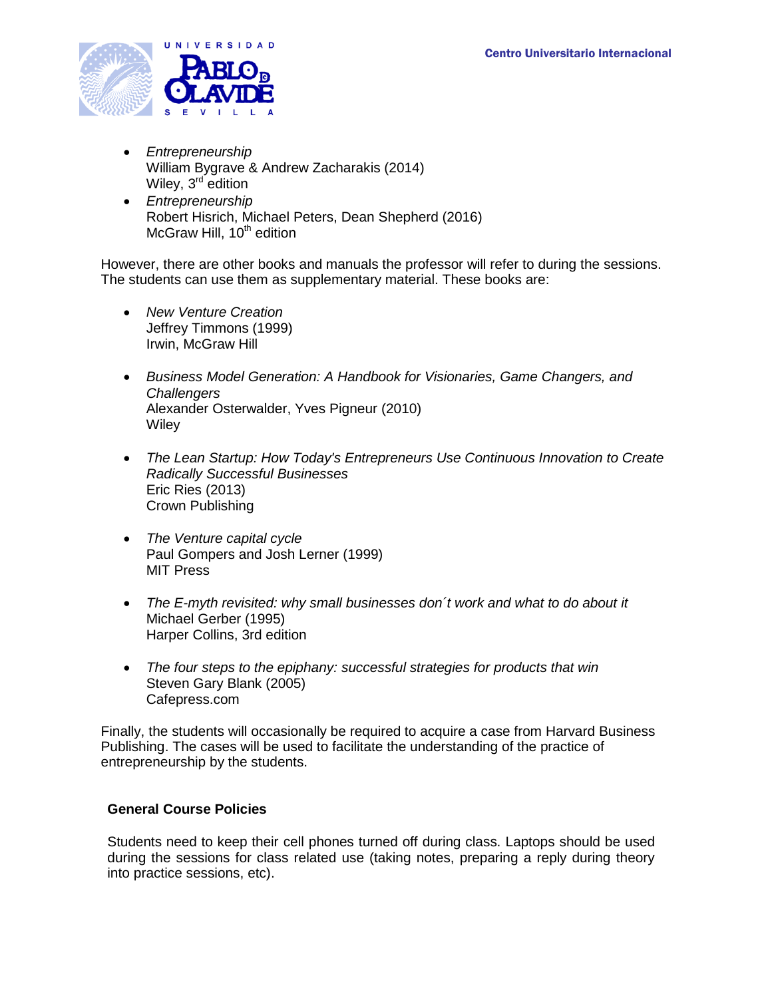

- *Entrepreneurship* William Bygrave & Andrew Zacharakis (2014) Wiley, 3<sup>rd</sup> edition
- *Entrepreneurship* Robert Hisrich, Michael Peters, Dean Shepherd (2016) McGraw Hill,  $10<sup>th</sup>$  edition

However, there are other books and manuals the professor will refer to during the sessions. The students can use them as supplementary material. These books are:

- *New Venture Creation* Jeffrey Timmons (1999) Irwin, McGraw Hill
- *Business Model Generation: A Handbook for Visionaries, Game Changers, and Challengers* Alexander Osterwalder, Yves Pigneur (2010) **Wiley**
- *The Lean Startup: How Today's Entrepreneurs Use Continuous Innovation to Create Radically Successful Businesses* Eric Ries (2013) Crown Publishing
- *The Venture capital cycle* Paul Gompers and Josh Lerner (1999) MIT Press
- *The E-myth revisited: why small businesses don´t work and what to do about it*  Michael Gerber (1995) Harper Collins, 3rd edition
- *The four steps to the epiphany: successful strategies for products that win*  Steven Gary Blank (2005) Cafepress.com

Finally, the students will occasionally be required to acquire a case from Harvard Business Publishing. The cases will be used to facilitate the understanding of the practice of entrepreneurship by the students.

# **General Course Policies**

Students need to keep their cell phones turned off during class. Laptops should be used during the sessions for class related use (taking notes, preparing a reply during theory into practice sessions, etc).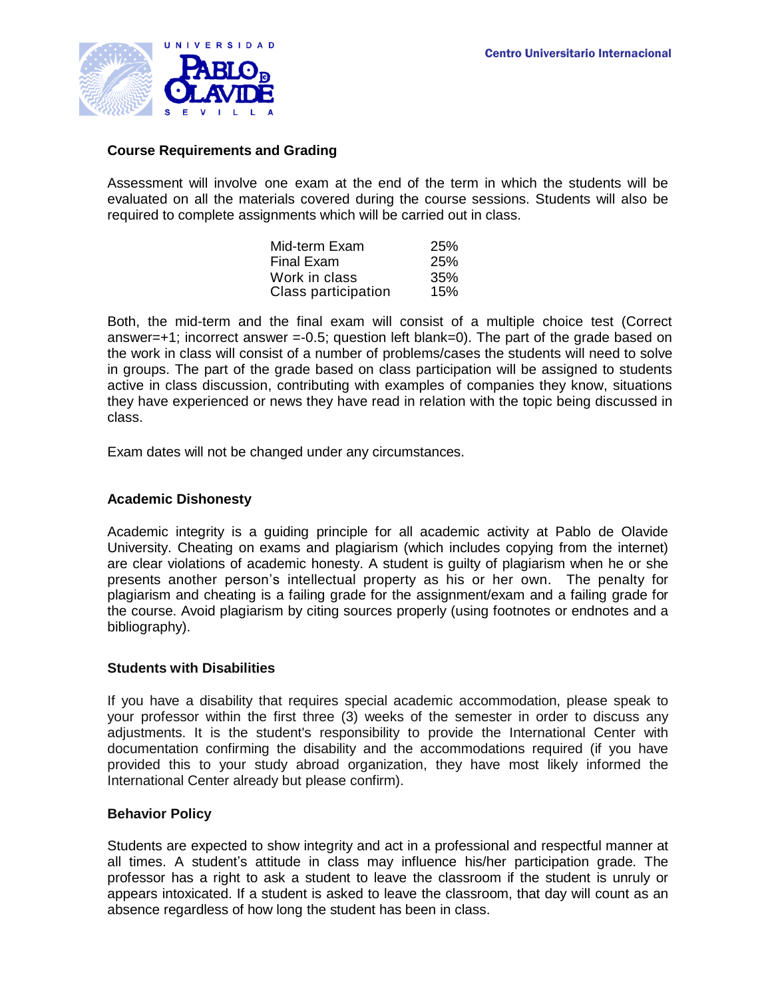

### **Course Requirements and Grading**

Assessment will involve one exam at the end of the term in which the students will be evaluated on all the materials covered during the course sessions. Students will also be required to complete assignments which will be carried out in class.

| Mid-term Exam       | <b>25%</b> |
|---------------------|------------|
| Final Exam          | 25%        |
| Work in class       | 35%        |
| Class participation | 15%        |

Both, the mid-term and the final exam will consist of a multiple choice test (Correct answer=+1; incorrect answer =-0.5; question left blank=0). The part of the grade based on the work in class will consist of a number of problems/cases the students will need to solve in groups. The part of the grade based on class participation will be assigned to students active in class discussion, contributing with examples of companies they know, situations they have experienced or news they have read in relation with the topic being discussed in class.

Exam dates will not be changed under any circumstances.

#### **Academic Dishonesty**

Academic integrity is a guiding principle for all academic activity at Pablo de Olavide University. Cheating on exams and plagiarism (which includes copying from the internet) are clear violations of academic honesty. A student is guilty of plagiarism when he or she presents another person's intellectual property as his or her own. The penalty for plagiarism and cheating is a failing grade for the assignment/exam and a failing grade for the course. Avoid plagiarism by citing sources properly (using footnotes or endnotes and a bibliography).

### **Students with Disabilities**

If you have a disability that requires special academic accommodation, please speak to your professor within the first three (3) weeks of the semester in order to discuss any adjustments. It is the student's responsibility to provide the International Center with documentation confirming the disability and the accommodations required (if you have provided this to your study abroad organization, they have most likely informed the International Center already but please confirm).

### **Behavior Policy**

Students are expected to show integrity and act in a professional and respectful manner at all times. A student's attitude in class may influence his/her participation grade. The professor has a right to ask a student to leave the classroom if the student is unruly or appears intoxicated. If a student is asked to leave the classroom, that day will count as an absence regardless of how long the student has been in class.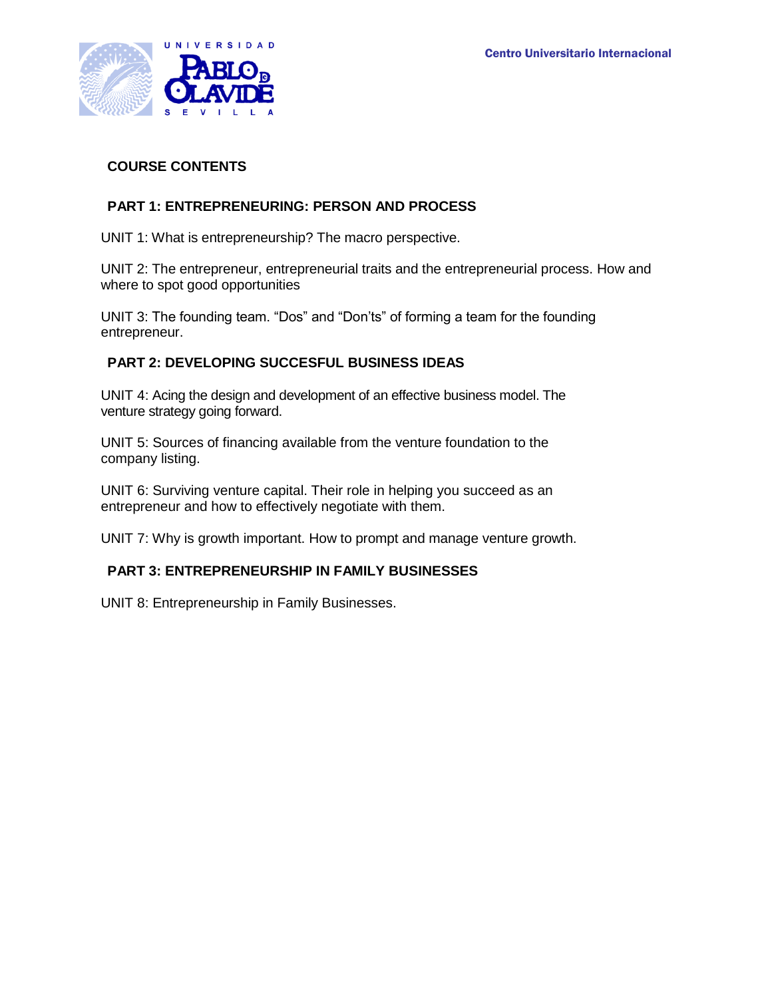

# **COURSE CONTENTS**

# **PART 1: ENTREPRENEURING: PERSON AND PROCESS**

UNIT 1: What is entrepreneurship? The macro perspective.

UNIT 2: The entrepreneur, entrepreneurial traits and the entrepreneurial process. How and where to spot good opportunities

UNIT 3: The founding team. "Dos" and "Don'ts" of forming a team for the founding entrepreneur.

# **PART 2: DEVELOPING SUCCESFUL BUSINESS IDEAS**

UNIT 4: Acing the design and development of an effective business model. The venture strategy going forward.

UNIT 5: Sources of financing available from the venture foundation to the company listing.

UNIT 6: Surviving venture capital. Their role in helping you succeed as an entrepreneur and how to effectively negotiate with them.

UNIT 7: Why is growth important. How to prompt and manage venture growth.

# **PART 3: ENTREPRENEURSHIP IN FAMILY BUSINESSES**

UNIT 8: Entrepreneurship in Family Businesses.